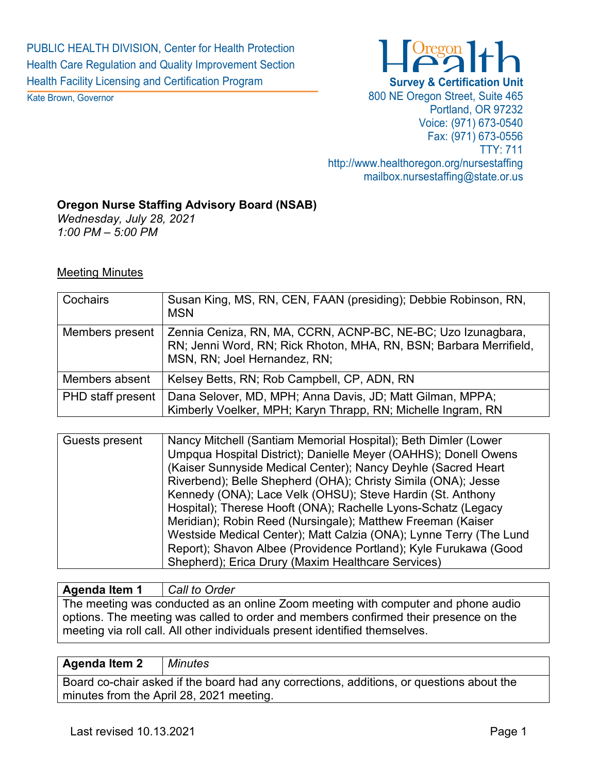PUBLIC HEALTH DIVISION, Center for Health Protection Health Care Regulation and Quality Improvement Section Health Facility Licensing and Certification Program

Kate Brown, Governor



800 NE Oregon Street, Suite 465 Portland, OR 97232 Voice: (971) 673-0540 Fax: (971) 673-0556 TTY: 711 http://www.healthoregon.org/nursestaffing mailbox.nursestaffing@state.or.us

#### **Oregon Nurse Staffing Advisory Board (NSAB)**

*Wednesday, July 28, 2021 1:00 PM – 5:00 PM*

#### Meeting Minutes

| Cochairs                 | Susan King, MS, RN, CEN, FAAN (presiding); Debbie Robinson, RN,<br><b>MSN</b>                                                                                      |
|--------------------------|--------------------------------------------------------------------------------------------------------------------------------------------------------------------|
| Members present          | Zennia Ceniza, RN, MA, CCRN, ACNP-BC, NE-BC; Uzo Izunagbara,<br>RN; Jenni Word, RN; Rick Rhoton, MHA, RN, BSN; Barbara Merrifield,<br>MSN, RN; Joel Hernandez, RN; |
| Members absent           | Kelsey Betts, RN; Rob Campbell, CP, ADN, RN                                                                                                                        |
| <b>PHD</b> staff present | Dana Selover, MD, MPH; Anna Davis, JD; Matt Gilman, MPPA;<br>Kimberly Voelker, MPH; Karyn Thrapp, RN; Michelle Ingram, RN                                          |

| Guests present | Nancy Mitchell (Santiam Memorial Hospital); Beth Dimler (Lower     |
|----------------|--------------------------------------------------------------------|
|                | Umpqua Hospital District); Danielle Meyer (OAHHS); Donell Owens    |
|                | (Kaiser Sunnyside Medical Center); Nancy Deyhle (Sacred Heart)     |
|                | Riverbend); Belle Shepherd (OHA); Christy Simila (ONA); Jesse      |
|                | Kennedy (ONA); Lace Velk (OHSU); Steve Hardin (St. Anthony         |
|                | Hospital); Therese Hooft (ONA); Rachelle Lyons-Schatz (Legacy      |
|                | Meridian); Robin Reed (Nursingale); Matthew Freeman (Kaiser        |
|                | Westside Medical Center); Matt Calzia (ONA); Lynne Terry (The Lund |
|                | Report); Shavon Albee (Providence Portland); Kyle Furukawa (Good   |
|                | Shepherd); Erica Drury (Maxim Healthcare Services)                 |

#### **Agenda Item 1** *Call to Order*

The meeting was conducted as an online Zoom meeting with computer and phone audio options. The meeting was called to order and members confirmed their presence on the meeting via roll call. All other individuals present identified themselves.

#### **Agenda Item 2** *Minutes*

Board co-chair asked if the board had any corrections, additions, or questions about the minutes from the April 28, 2021 meeting.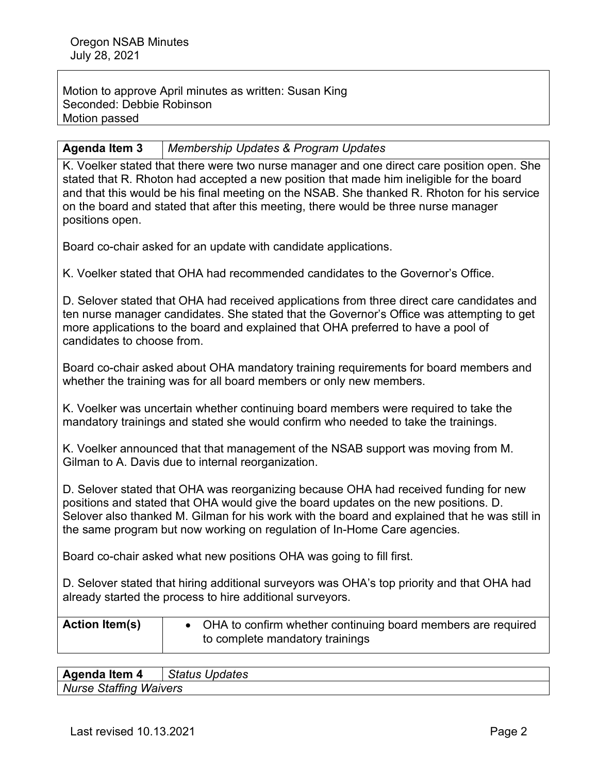Motion to approve April minutes as written: Susan King Seconded: Debbie Robinson Motion passed

## **Agenda Item 3** *Membership Updates & Program Updates*

K. Voelker stated that there were two nurse manager and one direct care position open. She stated that R. Rhoton had accepted a new position that made him ineligible for the board and that this would be his final meeting on the NSAB. She thanked R. Rhoton for his service on the board and stated that after this meeting, there would be three nurse manager positions open.

Board co-chair asked for an update with candidate applications.

K. Voelker stated that OHA had recommended candidates to the Governor's Office.

D. Selover stated that OHA had received applications from three direct care candidates and ten nurse manager candidates. She stated that the Governor's Office was attempting to get more applications to the board and explained that OHA preferred to have a pool of candidates to choose from.

Board co-chair asked about OHA mandatory training requirements for board members and whether the training was for all board members or only new members.

K. Voelker was uncertain whether continuing board members were required to take the mandatory trainings and stated she would confirm who needed to take the trainings.

K. Voelker announced that that management of the NSAB support was moving from M. Gilman to A. Davis due to internal reorganization.

D. Selover stated that OHA was reorganizing because OHA had received funding for new positions and stated that OHA would give the board updates on the new positions. D. Selover also thanked M. Gilman for his work with the board and explained that he was still in the same program but now working on regulation of In-Home Care agencies.

Board co-chair asked what new positions OHA was going to fill first.

D. Selover stated that hiring additional surveyors was OHA's top priority and that OHA had already started the process to hire additional surveyors.

| <b>Action Item(s)</b> | • OHA to confirm whether continuing board members are required<br>to complete mandatory trainings |
|-----------------------|---------------------------------------------------------------------------------------------------|
|                       |                                                                                                   |

**Agenda Item 4** *Status Updates Nurse Staffing Waivers*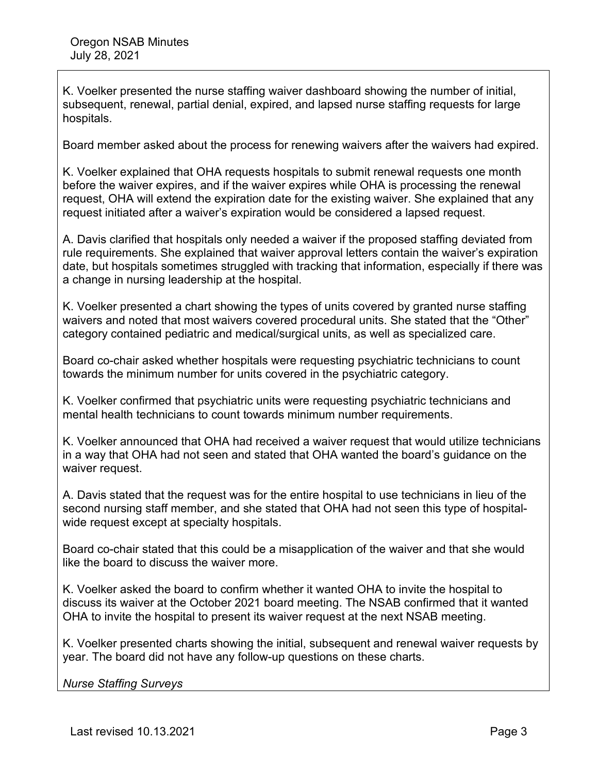K. Voelker presented the nurse staffing waiver dashboard showing the number of initial, subsequent, renewal, partial denial, expired, and lapsed nurse staffing requests for large hospitals.

Board member asked about the process for renewing waivers after the waivers had expired.

K. Voelker explained that OHA requests hospitals to submit renewal requests one month before the waiver expires, and if the waiver expires while OHA is processing the renewal request, OHA will extend the expiration date for the existing waiver. She explained that any request initiated after a waiver's expiration would be considered a lapsed request.

A. Davis clarified that hospitals only needed a waiver if the proposed staffing deviated from rule requirements. She explained that waiver approval letters contain the waiver's expiration date, but hospitals sometimes struggled with tracking that information, especially if there was a change in nursing leadership at the hospital.

K. Voelker presented a chart showing the types of units covered by granted nurse staffing waivers and noted that most waivers covered procedural units. She stated that the "Other" category contained pediatric and medical/surgical units, as well as specialized care.

Board co-chair asked whether hospitals were requesting psychiatric technicians to count towards the minimum number for units covered in the psychiatric category.

K. Voelker confirmed that psychiatric units were requesting psychiatric technicians and mental health technicians to count towards minimum number requirements.

K. Voelker announced that OHA had received a waiver request that would utilize technicians in a way that OHA had not seen and stated that OHA wanted the board's guidance on the waiver request.

A. Davis stated that the request was for the entire hospital to use technicians in lieu of the second nursing staff member, and she stated that OHA had not seen this type of hospitalwide request except at specialty hospitals.

Board co-chair stated that this could be a misapplication of the waiver and that she would like the board to discuss the waiver more.

K. Voelker asked the board to confirm whether it wanted OHA to invite the hospital to discuss its waiver at the October 2021 board meeting. The NSAB confirmed that it wanted OHA to invite the hospital to present its waiver request at the next NSAB meeting.

K. Voelker presented charts showing the initial, subsequent and renewal waiver requests by year. The board did not have any follow-up questions on these charts.

*Nurse Staffing Surveys*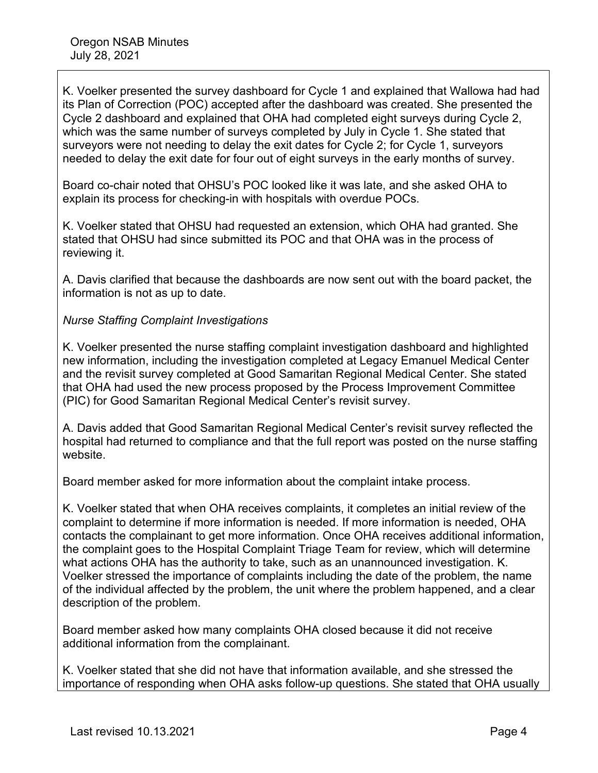K. Voelker presented the survey dashboard for Cycle 1 and explained that Wallowa had had its Plan of Correction (POC) accepted after the dashboard was created. She presented the Cycle 2 dashboard and explained that OHA had completed eight surveys during Cycle 2, which was the same number of surveys completed by July in Cycle 1. She stated that surveyors were not needing to delay the exit dates for Cycle 2; for Cycle 1, surveyors needed to delay the exit date for four out of eight surveys in the early months of survey.

Board co-chair noted that OHSU's POC looked like it was late, and she asked OHA to explain its process for checking-in with hospitals with overdue POCs.

K. Voelker stated that OHSU had requested an extension, which OHA had granted. She stated that OHSU had since submitted its POC and that OHA was in the process of reviewing it.

A. Davis clarified that because the dashboards are now sent out with the board packet, the information is not as up to date.

## *Nurse Staffing Complaint Investigations*

K. Voelker presented the nurse staffing complaint investigation dashboard and highlighted new information, including the investigation completed at Legacy Emanuel Medical Center and the revisit survey completed at Good Samaritan Regional Medical Center. She stated that OHA had used the new process proposed by the Process Improvement Committee (PIC) for Good Samaritan Regional Medical Center's revisit survey.

A. Davis added that Good Samaritan Regional Medical Center's revisit survey reflected the hospital had returned to compliance and that the full report was posted on the nurse staffing website.

Board member asked for more information about the complaint intake process.

K. Voelker stated that when OHA receives complaints, it completes an initial review of the complaint to determine if more information is needed. If more information is needed, OHA contacts the complainant to get more information. Once OHA receives additional information, the complaint goes to the Hospital Complaint Triage Team for review, which will determine what actions OHA has the authority to take, such as an unannounced investigation. K. Voelker stressed the importance of complaints including the date of the problem, the name of the individual affected by the problem, the unit where the problem happened, and a clear description of the problem.

Board member asked how many complaints OHA closed because it did not receive additional information from the complainant.

K. Voelker stated that she did not have that information available, and she stressed the importance of responding when OHA asks follow-up questions. She stated that OHA usually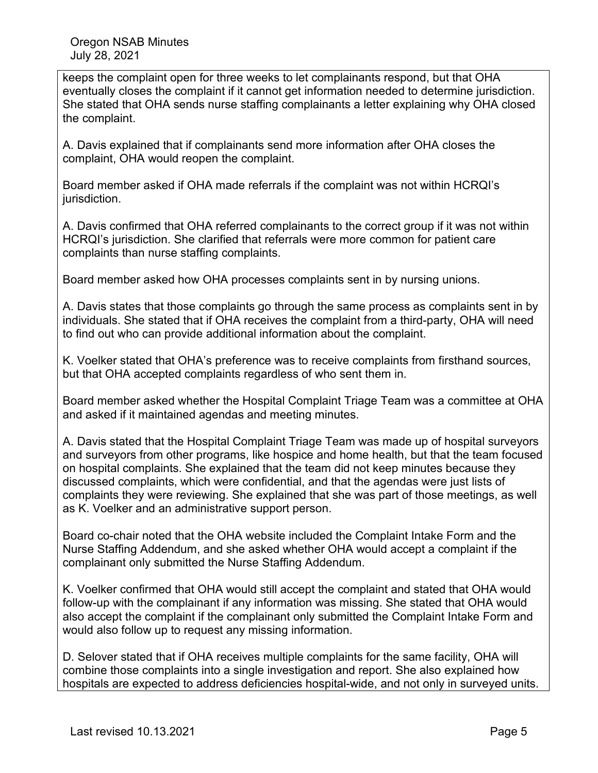keeps the complaint open for three weeks to let complainants respond, but that OHA eventually closes the complaint if it cannot get information needed to determine jurisdiction. She stated that OHA sends nurse staffing complainants a letter explaining why OHA closed the complaint.

A. Davis explained that if complainants send more information after OHA closes the complaint, OHA would reopen the complaint.

Board member asked if OHA made referrals if the complaint was not within HCRQI's jurisdiction.

A. Davis confirmed that OHA referred complainants to the correct group if it was not within HCRQI's jurisdiction. She clarified that referrals were more common for patient care complaints than nurse staffing complaints.

Board member asked how OHA processes complaints sent in by nursing unions.

A. Davis states that those complaints go through the same process as complaints sent in by individuals. She stated that if OHA receives the complaint from a third-party, OHA will need to find out who can provide additional information about the complaint.

K. Voelker stated that OHA's preference was to receive complaints from firsthand sources, but that OHA accepted complaints regardless of who sent them in.

Board member asked whether the Hospital Complaint Triage Team was a committee at OHA and asked if it maintained agendas and meeting minutes.

A. Davis stated that the Hospital Complaint Triage Team was made up of hospital surveyors and surveyors from other programs, like hospice and home health, but that the team focused on hospital complaints. She explained that the team did not keep minutes because they discussed complaints, which were confidential, and that the agendas were just lists of complaints they were reviewing. She explained that she was part of those meetings, as well as K. Voelker and an administrative support person.

Board co-chair noted that the OHA website included the Complaint Intake Form and the Nurse Staffing Addendum, and she asked whether OHA would accept a complaint if the complainant only submitted the Nurse Staffing Addendum.

K. Voelker confirmed that OHA would still accept the complaint and stated that OHA would follow-up with the complainant if any information was missing. She stated that OHA would also accept the complaint if the complainant only submitted the Complaint Intake Form and would also follow up to request any missing information.

D. Selover stated that if OHA receives multiple complaints for the same facility, OHA will combine those complaints into a single investigation and report. She also explained how hospitals are expected to address deficiencies hospital-wide, and not only in surveyed units.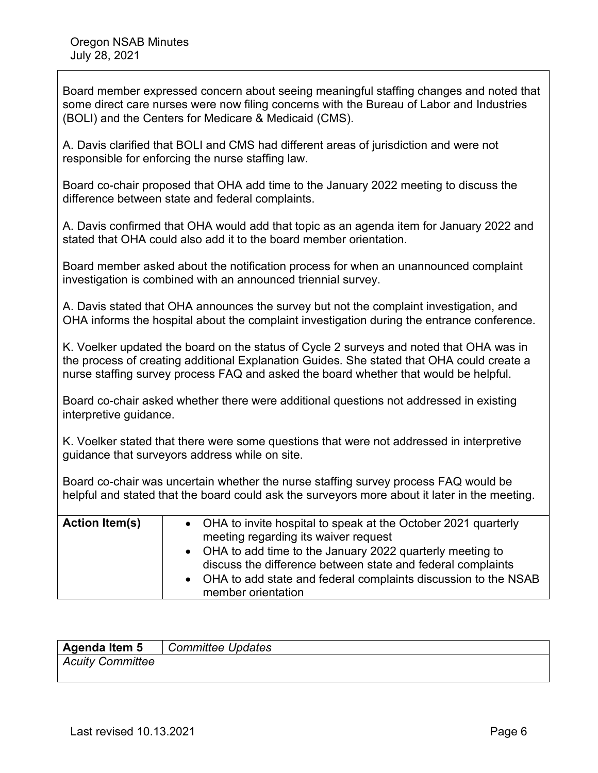| Board member expressed concern about seeing meaningful staffing changes and noted that<br>some direct care nurses were now filing concerns with the Bureau of Labor and Industries<br>(BOLI) and the Centers for Medicare & Medicaid (CMS).                                  |                                                                                                                                                                                                                                                                                                                          |  |  |
|------------------------------------------------------------------------------------------------------------------------------------------------------------------------------------------------------------------------------------------------------------------------------|--------------------------------------------------------------------------------------------------------------------------------------------------------------------------------------------------------------------------------------------------------------------------------------------------------------------------|--|--|
| A. Davis clarified that BOLI and CMS had different areas of jurisdiction and were not<br>responsible for enforcing the nurse staffing law.                                                                                                                                   |                                                                                                                                                                                                                                                                                                                          |  |  |
| Board co-chair proposed that OHA add time to the January 2022 meeting to discuss the<br>difference between state and federal complaints.                                                                                                                                     |                                                                                                                                                                                                                                                                                                                          |  |  |
| A. Davis confirmed that OHA would add that topic as an agenda item for January 2022 and<br>stated that OHA could also add it to the board member orientation.                                                                                                                |                                                                                                                                                                                                                                                                                                                          |  |  |
| Board member asked about the notification process for when an unannounced complaint<br>investigation is combined with an announced triennial survey.                                                                                                                         |                                                                                                                                                                                                                                                                                                                          |  |  |
| A. Davis stated that OHA announces the survey but not the complaint investigation, and<br>OHA informs the hospital about the complaint investigation during the entrance conference.                                                                                         |                                                                                                                                                                                                                                                                                                                          |  |  |
| K. Voelker updated the board on the status of Cycle 2 surveys and noted that OHA was in<br>the process of creating additional Explanation Guides. She stated that OHA could create a<br>nurse staffing survey process FAQ and asked the board whether that would be helpful. |                                                                                                                                                                                                                                                                                                                          |  |  |
| Board co-chair asked whether there were additional questions not addressed in existing<br>interpretive guidance.                                                                                                                                                             |                                                                                                                                                                                                                                                                                                                          |  |  |
| K. Voelker stated that there were some questions that were not addressed in interpretive<br>guidance that surveyors address while on site.                                                                                                                                   |                                                                                                                                                                                                                                                                                                                          |  |  |
| Board co-chair was uncertain whether the nurse staffing survey process FAQ would be<br>helpful and stated that the board could ask the surveyors more about it later in the meeting.                                                                                         |                                                                                                                                                                                                                                                                                                                          |  |  |
| <b>Action Item(s)</b>                                                                                                                                                                                                                                                        | OHA to invite hospital to speak at the October 2021 quarterly<br>meeting regarding its waiver request<br>OHA to add time to the January 2022 quarterly meeting to<br>discuss the difference between state and federal complaints<br>OHA to add state and federal complaints discussion to the NSAB<br>member orientation |  |  |

| Agenda Item 5    | <b>Committee Updates</b> |
|------------------|--------------------------|
| Acuity Committee |                          |

ן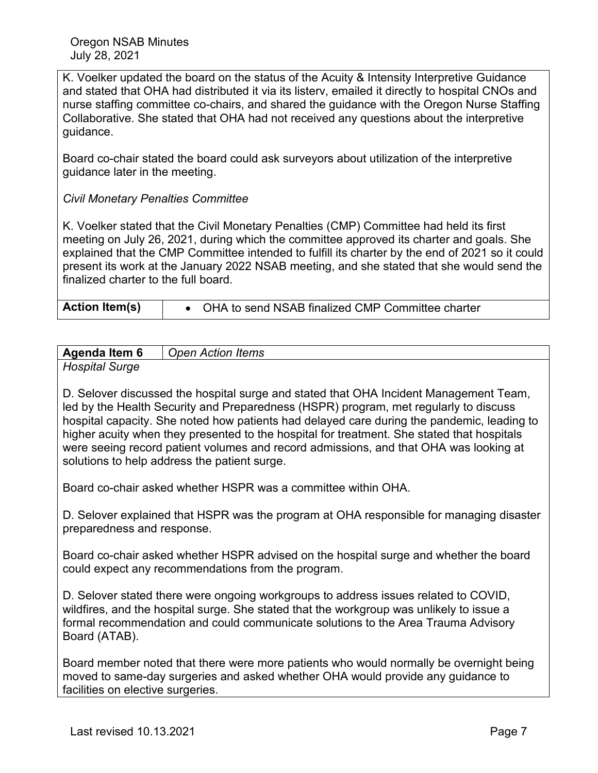K. Voelker updated the board on the status of the Acuity & Intensity Interpretive Guidance and stated that OHA had distributed it via its listerv, emailed it directly to hospital CNOs and nurse staffing committee co-chairs, and shared the guidance with the Oregon Nurse Staffing Collaborative. She stated that OHA had not received any questions about the interpretive guidance.

Board co-chair stated the board could ask surveyors about utilization of the interpretive guidance later in the meeting.

## *Civil Monetary Penalties Committee*

K. Voelker stated that the Civil Monetary Penalties (CMP) Committee had held its first meeting on July 26, 2021, during which the committee approved its charter and goals. She explained that the CMP Committee intended to fulfill its charter by the end of 2021 so it could present its work at the January 2022 NSAB meeting, and she stated that she would send the finalized charter to the full board.

| <b>Action Item(s)</b><br>OHA to send NSAB finalized CMP Committee charter |
|---------------------------------------------------------------------------|
|---------------------------------------------------------------------------|

| <b>Agenda Item 6</b> | <b>Action Items</b><br>Oper |
|----------------------|-----------------------------|
|                      |                             |

*Hospital Surge*

D. Selover discussed the hospital surge and stated that OHA Incident Management Team, led by the Health Security and Preparedness (HSPR) program, met regularly to discuss hospital capacity. She noted how patients had delayed care during the pandemic, leading to higher acuity when they presented to the hospital for treatment. She stated that hospitals were seeing record patient volumes and record admissions, and that OHA was looking at solutions to help address the patient surge.

Board co-chair asked whether HSPR was a committee within OHA.

D. Selover explained that HSPR was the program at OHA responsible for managing disaster preparedness and response.

Board co-chair asked whether HSPR advised on the hospital surge and whether the board could expect any recommendations from the program.

D. Selover stated there were ongoing workgroups to address issues related to COVID, wildfires, and the hospital surge. She stated that the workgroup was unlikely to issue a formal recommendation and could communicate solutions to the Area Trauma Advisory Board (ATAB).

Board member noted that there were more patients who would normally be overnight being moved to same-day surgeries and asked whether OHA would provide any guidance to facilities on elective surgeries.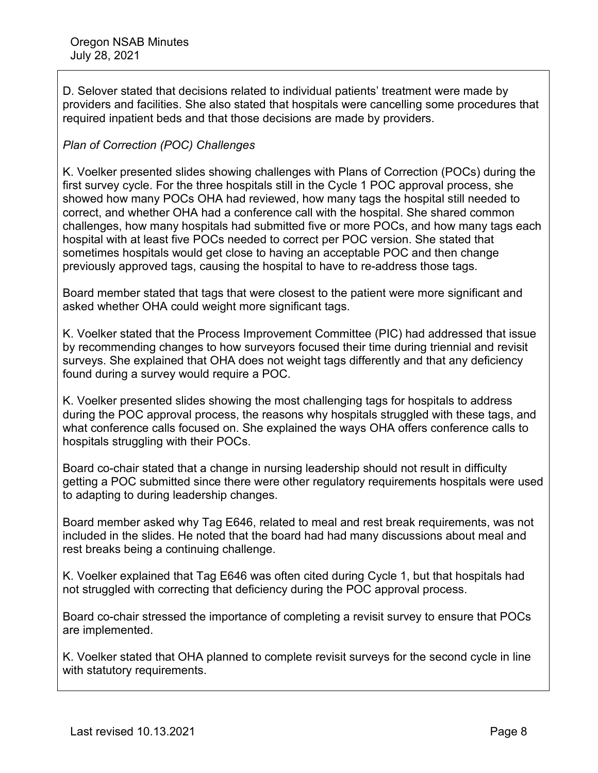D. Selover stated that decisions related to individual patients' treatment were made by providers and facilities. She also stated that hospitals were cancelling some procedures that required inpatient beds and that those decisions are made by providers.

## *Plan of Correction (POC) Challenges*

K. Voelker presented slides showing challenges with Plans of Correction (POCs) during the first survey cycle. For the three hospitals still in the Cycle 1 POC approval process, she showed how many POCs OHA had reviewed, how many tags the hospital still needed to correct, and whether OHA had a conference call with the hospital. She shared common challenges, how many hospitals had submitted five or more POCs, and how many tags each hospital with at least five POCs needed to correct per POC version. She stated that sometimes hospitals would get close to having an acceptable POC and then change previously approved tags, causing the hospital to have to re-address those tags.

Board member stated that tags that were closest to the patient were more significant and asked whether OHA could weight more significant tags.

K. Voelker stated that the Process Improvement Committee (PIC) had addressed that issue by recommending changes to how surveyors focused their time during triennial and revisit surveys. She explained that OHA does not weight tags differently and that any deficiency found during a survey would require a POC.

K. Voelker presented slides showing the most challenging tags for hospitals to address during the POC approval process, the reasons why hospitals struggled with these tags, and what conference calls focused on. She explained the ways OHA offers conference calls to hospitals struggling with their POCs.

Board co-chair stated that a change in nursing leadership should not result in difficulty getting a POC submitted since there were other regulatory requirements hospitals were used to adapting to during leadership changes.

Board member asked why Tag E646, related to meal and rest break requirements, was not included in the slides. He noted that the board had had many discussions about meal and rest breaks being a continuing challenge.

K. Voelker explained that Tag E646 was often cited during Cycle 1, but that hospitals had not struggled with correcting that deficiency during the POC approval process.

Board co-chair stressed the importance of completing a revisit survey to ensure that POCs are implemented.

K. Voelker stated that OHA planned to complete revisit surveys for the second cycle in line with statutory requirements.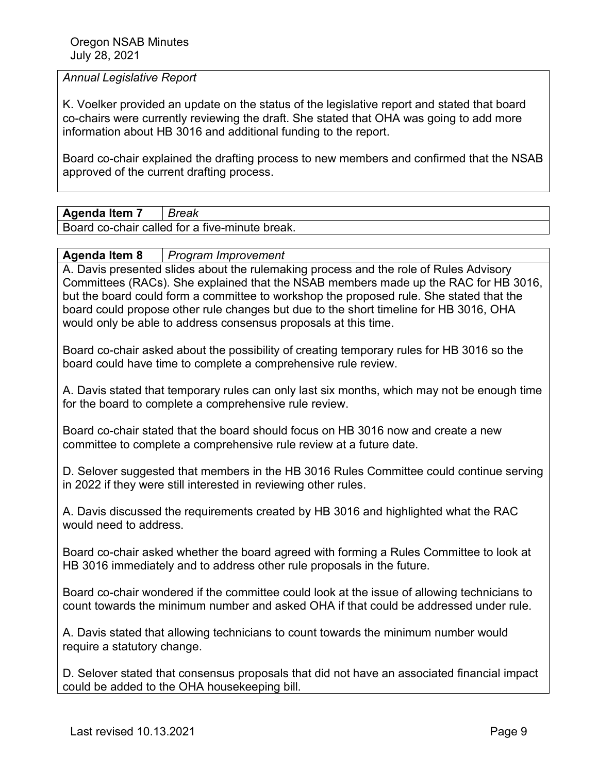#### *Annual Legislative Report*

K. Voelker provided an update on the status of the legislative report and stated that board co-chairs were currently reviewing the draft. She stated that OHA was going to add more information about HB 3016 and additional funding to the report.

Board co-chair explained the drafting process to new members and confirmed that the NSAB approved of the current drafting process.

**Agenda Item 7** *Break*

Board co-chair called for a five-minute break.

**Agenda Item 8** *Program Improvement*

A. Davis presented slides about the rulemaking process and the role of Rules Advisory Committees (RACs). She explained that the NSAB members made up the RAC for HB 3016, but the board could form a committee to workshop the proposed rule. She stated that the board could propose other rule changes but due to the short timeline for HB 3016, OHA would only be able to address consensus proposals at this time.

Board co-chair asked about the possibility of creating temporary rules for HB 3016 so the board could have time to complete a comprehensive rule review.

A. Davis stated that temporary rules can only last six months, which may not be enough time for the board to complete a comprehensive rule review.

Board co-chair stated that the board should focus on HB 3016 now and create a new committee to complete a comprehensive rule review at a future date.

D. Selover suggested that members in the HB 3016 Rules Committee could continue serving in 2022 if they were still interested in reviewing other rules.

A. Davis discussed the requirements created by HB 3016 and highlighted what the RAC would need to address.

Board co-chair asked whether the board agreed with forming a Rules Committee to look at HB 3016 immediately and to address other rule proposals in the future.

Board co-chair wondered if the committee could look at the issue of allowing technicians to count towards the minimum number and asked OHA if that could be addressed under rule.

A. Davis stated that allowing technicians to count towards the minimum number would require a statutory change.

D. Selover stated that consensus proposals that did not have an associated financial impact could be added to the OHA housekeeping bill.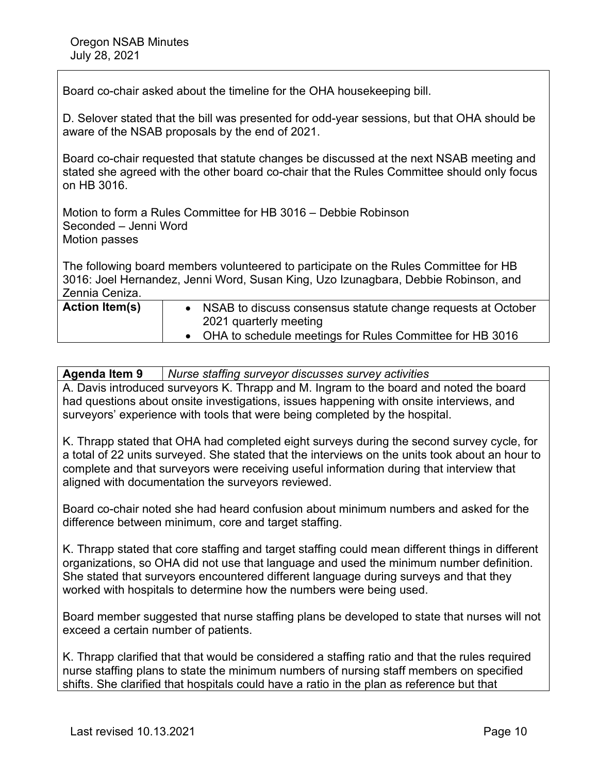Board co-chair asked about the timeline for the OHA housekeeping bill.

D. Selover stated that the bill was presented for odd-year sessions, but that OHA should be aware of the NSAB proposals by the end of 2021.

Board co-chair requested that statute changes be discussed at the next NSAB meeting and stated she agreed with the other board co-chair that the Rules Committee should only focus on HB 3016.

Motion to form a Rules Committee for HB 3016 – Debbie Robinson Seconded – Jenni Word Motion passes

The following board members volunteered to participate on the Rules Committee for HB 3016: Joel Hernandez, Jenni Word, Susan King, Uzo Izunagbara, Debbie Robinson, and Zennia Ceniza.

| <b>Action Item(s)</b> | • NSAB to discuss consensus statute change requests at October |
|-----------------------|----------------------------------------------------------------|
|                       | 2021 quarterly meeting                                         |
|                       | • OHA to schedule meetings for Rules Committee for HB 3016     |
|                       |                                                                |

### **Agenda Item 9** *Nurse staffing surveyor discusses survey activities* A. Davis introduced surveyors K. Thrapp and M. Ingram to the board and noted the board had questions about onsite investigations, issues happening with onsite interviews, and surveyors' experience with tools that were being completed by the hospital.

K. Thrapp stated that OHA had completed eight surveys during the second survey cycle, for a total of 22 units surveyed. She stated that the interviews on the units took about an hour to complete and that surveyors were receiving useful information during that interview that aligned with documentation the surveyors reviewed.

Board co-chair noted she had heard confusion about minimum numbers and asked for the difference between minimum, core and target staffing.

K. Thrapp stated that core staffing and target staffing could mean different things in different organizations, so OHA did not use that language and used the minimum number definition. She stated that surveyors encountered different language during surveys and that they worked with hospitals to determine how the numbers were being used.

Board member suggested that nurse staffing plans be developed to state that nurses will not exceed a certain number of patients.

K. Thrapp clarified that that would be considered a staffing ratio and that the rules required nurse staffing plans to state the minimum numbers of nursing staff members on specified shifts. She clarified that hospitals could have a ratio in the plan as reference but that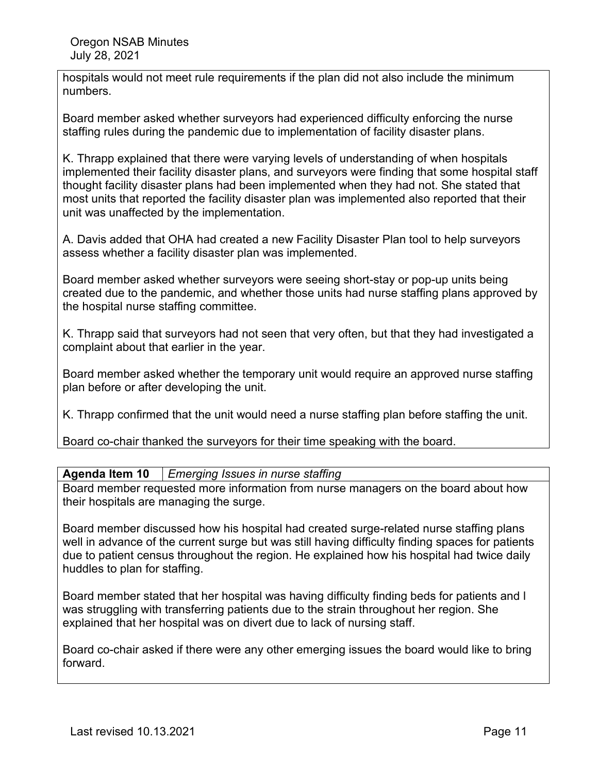hospitals would not meet rule requirements if the plan did not also include the minimum numbers.

Board member asked whether surveyors had experienced difficulty enforcing the nurse staffing rules during the pandemic due to implementation of facility disaster plans.

K. Thrapp explained that there were varying levels of understanding of when hospitals implemented their facility disaster plans, and surveyors were finding that some hospital staff thought facility disaster plans had been implemented when they had not. She stated that most units that reported the facility disaster plan was implemented also reported that their unit was unaffected by the implementation.

A. Davis added that OHA had created a new Facility Disaster Plan tool to help surveyors assess whether a facility disaster plan was implemented.

Board member asked whether surveyors were seeing short-stay or pop-up units being created due to the pandemic, and whether those units had nurse staffing plans approved by the hospital nurse staffing committee.

K. Thrapp said that surveyors had not seen that very often, but that they had investigated a complaint about that earlier in the year.

Board member asked whether the temporary unit would require an approved nurse staffing plan before or after developing the unit.

K. Thrapp confirmed that the unit would need a nurse staffing plan before staffing the unit.

Board co-chair thanked the surveyors for their time speaking with the board.

## **Agenda Item 10** *Emerging Issues in nurse staffing*

Board member requested more information from nurse managers on the board about how their hospitals are managing the surge.

Board member discussed how his hospital had created surge-related nurse staffing plans well in advance of the current surge but was still having difficulty finding spaces for patients due to patient census throughout the region. He explained how his hospital had twice daily huddles to plan for staffing.

Board member stated that her hospital was having difficulty finding beds for patients and l was struggling with transferring patients due to the strain throughout her region. She explained that her hospital was on divert due to lack of nursing staff.

Board co-chair asked if there were any other emerging issues the board would like to bring forward.